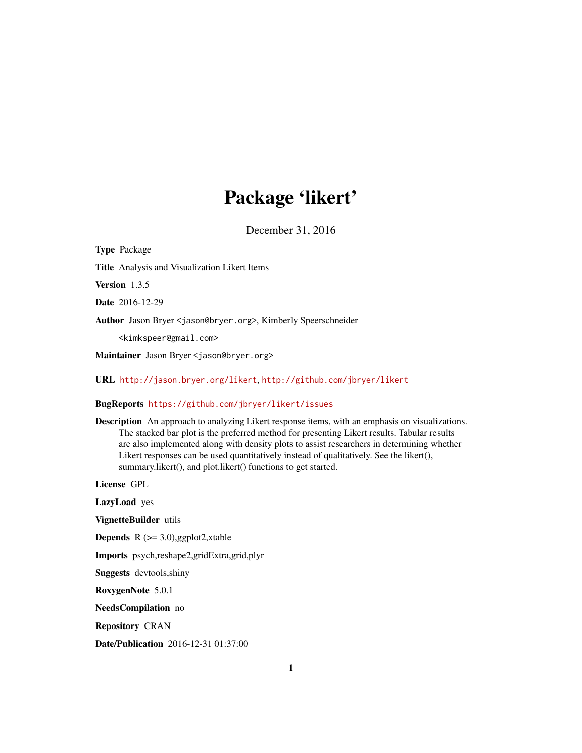# Package 'likert'

December 31, 2016

<span id="page-0-0"></span>Type Package Title Analysis and Visualization Likert Items Version 1.3.5 Date 2016-12-29 Author Jason Bryer <jason@bryer.org>, Kimberly Speerschneider <kimkspeer@gmail.com> Maintainer Jason Bryer <jason@bryer.org> URL <http://jason.bryer.org/likert>, <http://github.com/jbryer/likert>

# BugReports <https://github.com/jbryer/likert/issues>

Description An approach to analyzing Likert response items, with an emphasis on visualizations. The stacked bar plot is the preferred method for presenting Likert results. Tabular results are also implemented along with density plots to assist researchers in determining whether Likert responses can be used quantitatively instead of qualitatively. See the likert(), summary.likert(), and plot.likert() functions to get started.

License GPL

LazyLoad yes

VignetteBuilder utils

**Depends**  $R$  ( $>= 3.0$ ),ggplot2,xtable

Imports psych,reshape2,gridExtra,grid,plyr

Suggests devtools,shiny

RoxygenNote 5.0.1

NeedsCompilation no

Repository CRAN

Date/Publication 2016-12-31 01:37:00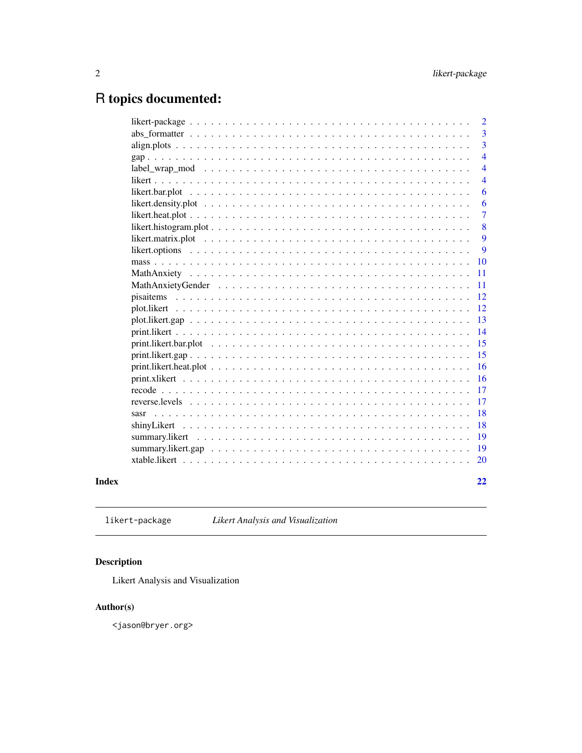# <span id="page-1-0"></span>R topics documented:

|       |                                                                                                             | $\overline{2}$ |
|-------|-------------------------------------------------------------------------------------------------------------|----------------|
|       |                                                                                                             | $\overline{3}$ |
|       |                                                                                                             | 3              |
|       |                                                                                                             | $\overline{4}$ |
|       | label wrap mod $\ldots \ldots \ldots \ldots \ldots \ldots \ldots \ldots \ldots \ldots \ldots \ldots \ldots$ | $\overline{4}$ |
|       |                                                                                                             | $\overline{4}$ |
|       |                                                                                                             | 6              |
|       |                                                                                                             | 6              |
|       |                                                                                                             | 7              |
|       |                                                                                                             | 8              |
|       |                                                                                                             | 9              |
|       |                                                                                                             | 9              |
|       |                                                                                                             | 10             |
|       |                                                                                                             | 11             |
|       |                                                                                                             | 11             |
|       |                                                                                                             | 12             |
|       |                                                                                                             | 12             |
|       |                                                                                                             | 13             |
|       |                                                                                                             | 14             |
|       |                                                                                                             | 15             |
|       |                                                                                                             | 15             |
|       |                                                                                                             | 16             |
|       |                                                                                                             | 16             |
|       |                                                                                                             | 17             |
|       |                                                                                                             | 17             |
|       | sasr                                                                                                        | 18             |
|       |                                                                                                             | 18             |
|       |                                                                                                             | 19             |
|       |                                                                                                             | 19             |
|       |                                                                                                             | 20             |
| Index |                                                                                                             | 22             |

likert-package *Likert Analysis and Visualization*

# Description

Likert Analysis and Visualization

# Author(s)

<jason@bryer.org>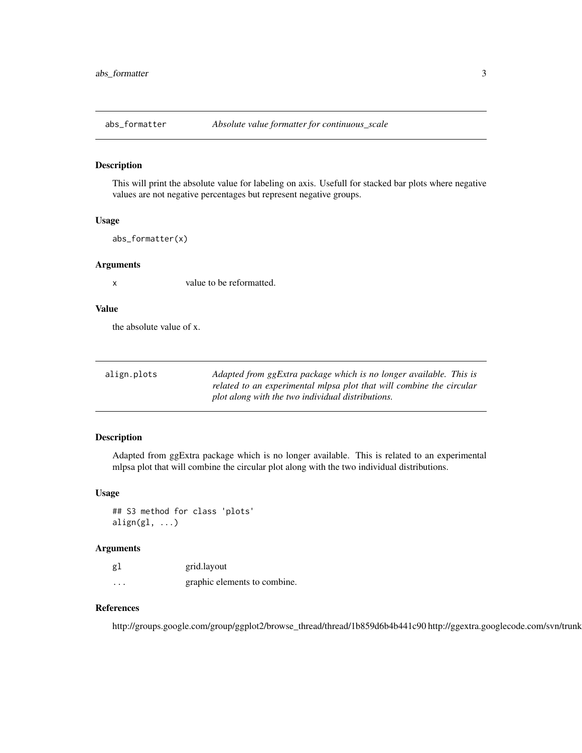<span id="page-2-0"></span>

#### Description

This will print the absolute value for labeling on axis. Usefull for stacked bar plots where negative values are not negative percentages but represent negative groups.

#### Usage

abs\_formatter(x)

#### Arguments

x value to be reformatted.

# Value

the absolute value of x.

| align.plots | Adapted from ggExtra package which is no longer available. This is   |
|-------------|----------------------------------------------------------------------|
|             | related to an experimental mlpsa plot that will combine the circular |
|             | plot along with the two individual distributions.                    |

# Description

Adapted from ggExtra package which is no longer available. This is related to an experimental mlpsa plot that will combine the circular plot along with the two individual distributions.

#### Usage

## S3 method for class 'plots' align(gl, ...)

# Arguments

| gl       | grid.layout                  |
|----------|------------------------------|
| $\cdots$ | graphic elements to combine. |

# References

http://groups.google.com/group/ggplot2/browse\_thread/thread/1b859d6b4b441c90 http://ggextra.googlecode.com/svn/trunk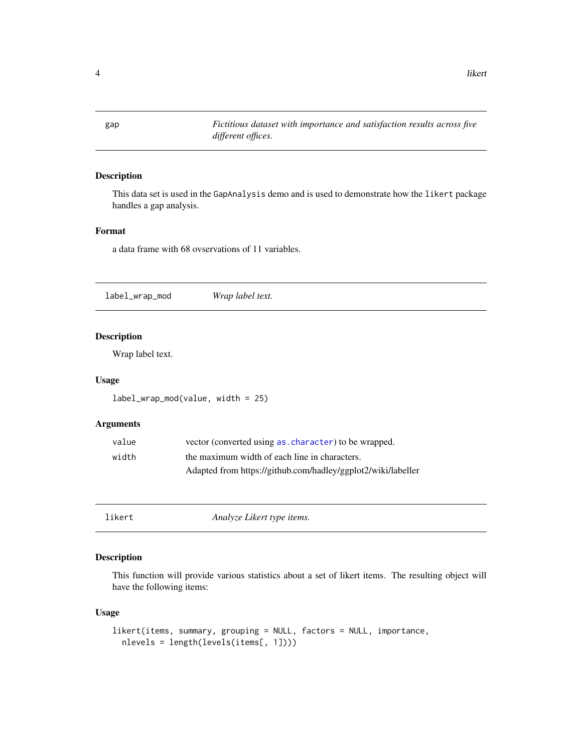<span id="page-3-0"></span>gap *Fictitious dataset with importance and satisfaction results across five different offices.*

#### Description

This data set is used in the GapAnalysis demo and is used to demonstrate how the likert package handles a gap analysis.

# Format

a data frame with 68 ovservations of 11 variables.

label\_wrap\_mod *Wrap label text.*

# Description

Wrap label text.

#### Usage

```
label_wrap_mod(value, width = 25)
```
# Arguments

| value | vector (converted using as, character) to be wrapped.        |
|-------|--------------------------------------------------------------|
| width | the maximum width of each line in characters.                |
|       | Adapted from https://github.com/hadley/ggplot2/wiki/labeller |

<span id="page-3-1"></span>

| likert |  |
|--------|--|
|        |  |
|        |  |

Analyze Likert type items.

#### Description

This function will provide various statistics about a set of likert items. The resulting object will have the following items:

# Usage

```
likert(items, summary, grouping = NULL, factors = NULL, importance,
  nlevels = length(levels(items[, 1])))
```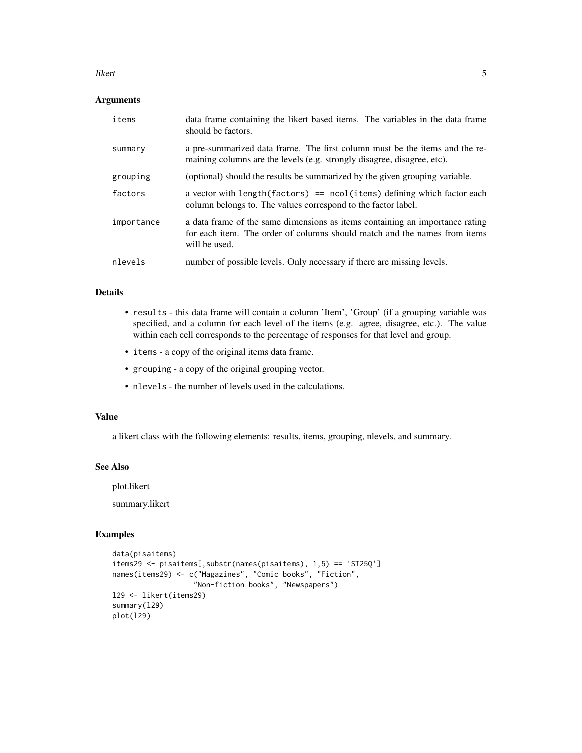#### likert 5 august 1980 van die 19de eeu n.C. Soos en die 19de eeu n.C. Soos en in 19de eeu n.C. Soos en in 19de e

# Arguments

| items      | data frame containing the likert based items. The variables in the data frame<br>should be factors.                                                                        |
|------------|----------------------------------------------------------------------------------------------------------------------------------------------------------------------------|
| summary    | a pre-summarized data frame. The first column must be the items and the re-<br>maining columns are the levels (e.g. strongly disagree, disagree, etc).                     |
| grouping   | (optional) should the results be summarized by the given grouping variable.                                                                                                |
| factors    | a vector with length $(factors) == ncol(items)$ defining which factor each<br>column belongs to. The values correspond to the factor label.                                |
| importance | a data frame of the same dimensions as items containing an importance rating<br>for each item. The order of columns should match and the names from items<br>will be used. |
| nlevels    | number of possible levels. Only necessary if there are missing levels.                                                                                                     |

# Details

- results this data frame will contain a column 'Item', 'Group' (if a grouping variable was specified, and a column for each level of the items (e.g. agree, disagree, etc.). The value within each cell corresponds to the percentage of responses for that level and group.
- items a copy of the original items data frame.
- grouping a copy of the original grouping vector.
- nlevels the number of levels used in the calculations.

#### Value

a likert class with the following elements: results, items, grouping, nlevels, and summary.

# See Also

plot.likert

summary.likert

#### Examples

```
data(pisaitems)
items29 <- pisaitems[,substr(names(pisaitems), 1,5) == 'ST25Q']
names(items29) <- c("Magazines", "Comic books", "Fiction",
                   "Non-fiction books", "Newspapers")
l29 <- likert(items29)
summary(l29)
plot(l29)
```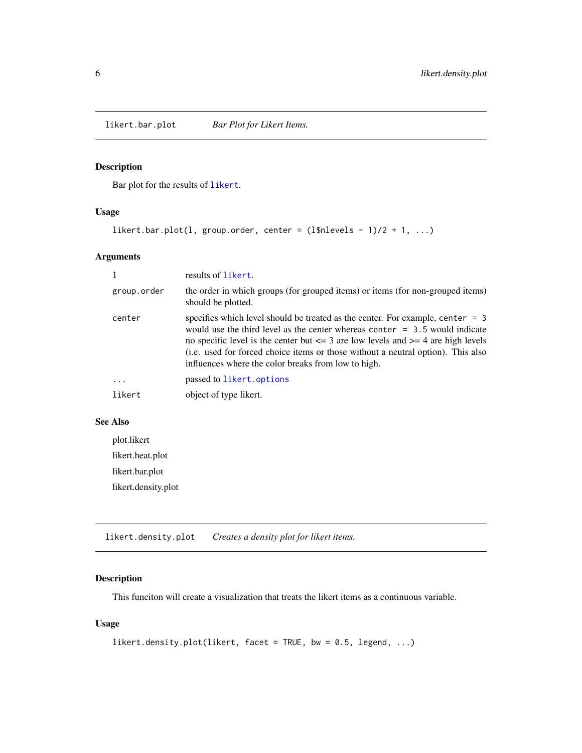<span id="page-5-1"></span><span id="page-5-0"></span>likert.bar.plot *Bar Plot for Likert Items.*

# Description

Bar plot for the results of [likert](#page-3-1).

# Usage

```
likert.bar.plot(1, group.order, center = (1$nlevels - 1)/2 + 1, ...)
```
# Arguments

|             | results of likert.                                                                                                                                                                                                                                                                                                                                                                                       |
|-------------|----------------------------------------------------------------------------------------------------------------------------------------------------------------------------------------------------------------------------------------------------------------------------------------------------------------------------------------------------------------------------------------------------------|
| group.order | the order in which groups (for grouped items) or items (for non-grouped items)<br>should be plotted.                                                                                                                                                                                                                                                                                                     |
| center      | specifies which level should be treated as the center. For example, center $= 3$<br>would use the third level as the center whereas center $= 3.5$ would indicate<br>no specific level is the center but $\leq$ 3 are low levels and $\geq$ 4 are high levels<br>(i.e. used for forced choice items or those without a neutral option). This also<br>influences where the color breaks from low to high. |
| $\cdot$     | passed to likert.options                                                                                                                                                                                                                                                                                                                                                                                 |
| likert      | object of type likert.                                                                                                                                                                                                                                                                                                                                                                                   |

# See Also

| plot.likert         |
|---------------------|
| likert.heat.plot    |
| likert.bar.plot     |
| likert.density.plot |

<span id="page-5-2"></span>likert.density.plot *Creates a density plot for likert items.*

# Description

This funciton will create a visualization that treats the likert items as a continuous variable.

# Usage

```
likert.density.plot(likert, facet = TRUE, bw = 0.5, legend, ...)
```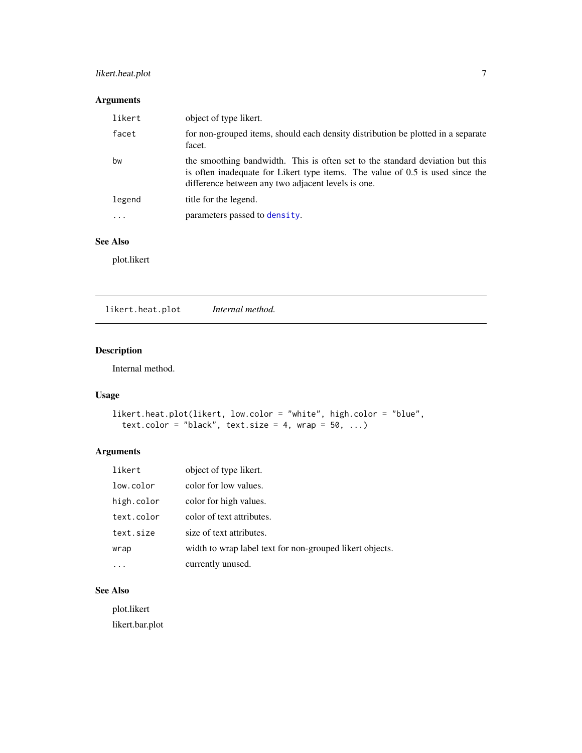# <span id="page-6-0"></span>likert.heat.plot 7

# Arguments

| likert | object of type likert.                                                                                                                                                                                               |
|--------|----------------------------------------------------------------------------------------------------------------------------------------------------------------------------------------------------------------------|
| facet  | for non-grouped items, should each density distribution be plotted in a separate<br>facet.                                                                                                                           |
| bw     | the smoothing bandwidth. This is often set to the standard deviation but this<br>is often inadequate for Likert type items. The value of 0.5 is used since the<br>difference between any two adjacent levels is one. |
| legend | title for the legend.                                                                                                                                                                                                |
| .      | parameters passed to density.                                                                                                                                                                                        |
|        |                                                                                                                                                                                                                      |

# See Also

plot.likert

<span id="page-6-1"></span>likert.heat.plot *Internal method.*

# Description

Internal method.

# Usage

```
likert.heat.plot(likert, low.color = "white", high.color = "blue",
  text.color = "black", text.size = 4, wrap = 50, ...)
```
# Arguments

| likert     | object of type likert.                                   |
|------------|----------------------------------------------------------|
| low.color  | color for low values.                                    |
| high.color | color for high values.                                   |
| text.color | color of text attributes.                                |
| text.size  | size of text attributes.                                 |
| wrap       | width to wrap label text for non-grouped likert objects. |
|            | currently unused.                                        |

# See Also

plot.likert likert.bar.plot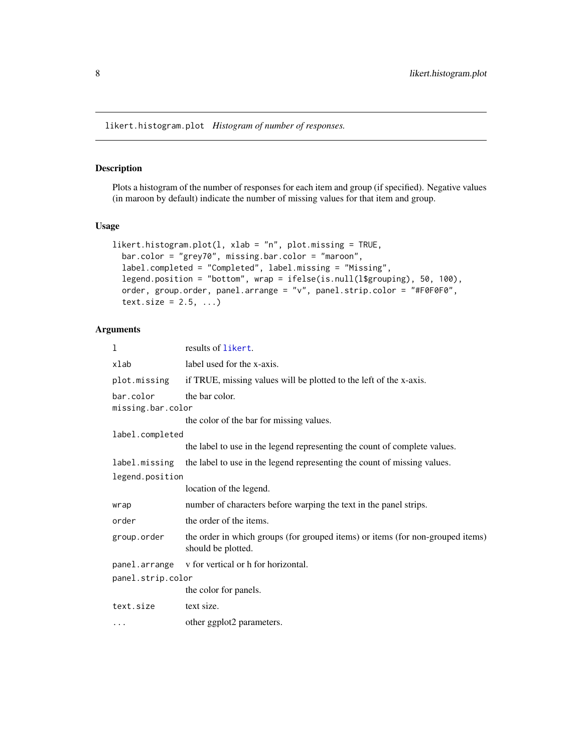<span id="page-7-1"></span><span id="page-7-0"></span>likert.histogram.plot *Histogram of number of responses.*

#### Description

Plots a histogram of the number of responses for each item and group (if specified). Negative values (in maroon by default) indicate the number of missing values for that item and group.

# Usage

```
likert.histogram.plot(l, xlab = "n", plot.missing = TRUE,
 bar.color = "grey70", missing.bar.color = "maroon",
  label.completed = "Completed", label.missing = "Missing",
  legend.position = "bottom", wrap = ifelse(is.null(l$grouping), 50, 100),
 order, group.order, panel.arrange = "v", panel.strip.color = "#F0F0F0",
  text.size = 2.5, ...
```

| 1                              | results of likert.                                                                                   |
|--------------------------------|------------------------------------------------------------------------------------------------------|
| xlab                           | label used for the x-axis.                                                                           |
| plot.missing                   | if TRUE, missing values will be plotted to the left of the x-axis.                                   |
| bar.color<br>missing.bar.color | the bar color.                                                                                       |
|                                | the color of the bar for missing values.                                                             |
| label.completed                |                                                                                                      |
|                                | the label to use in the legend representing the count of complete values.                            |
| label.missing                  | the label to use in the legend representing the count of missing values.                             |
| legend.position                |                                                                                                      |
|                                | location of the legend.                                                                              |
| wrap                           | number of characters before warping the text in the panel strips.                                    |
| order                          | the order of the items.                                                                              |
| group.order                    | the order in which groups (for grouped items) or items (for non-grouped items)<br>should be plotted. |
| panel.arrange                  | v for vertical or h for horizontal.                                                                  |
| panel.strip.color              |                                                                                                      |
|                                | the color for panels.                                                                                |
| text.size                      | text size.                                                                                           |
| $\cdots$                       | other ggplot2 parameters.                                                                            |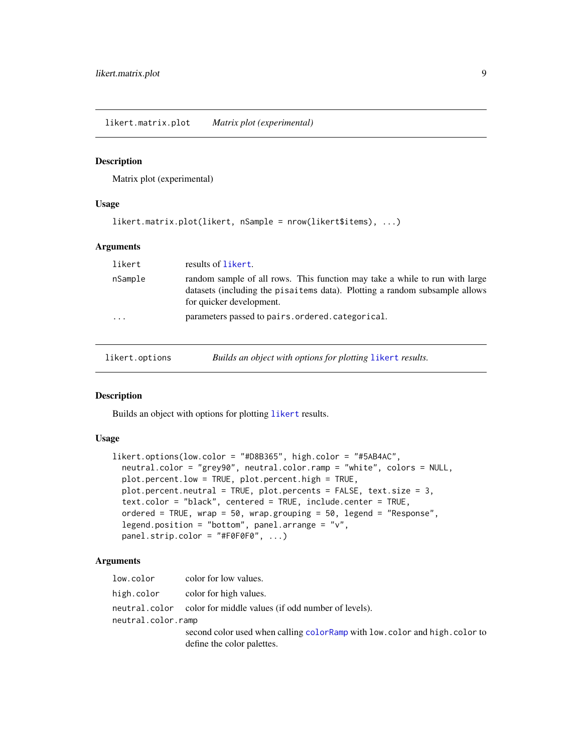<span id="page-8-0"></span>likert.matrix.plot *Matrix plot (experimental)*

#### Description

Matrix plot (experimental)

# Usage

```
likert.matrix.plot(likert, nSample = nrow(likert$items), ...)
```
#### Arguments

| likert         | results of likert.                                                                                                                                                                     |
|----------------|----------------------------------------------------------------------------------------------------------------------------------------------------------------------------------------|
| nSample        | random sample of all rows. This function may take a while to run with large<br>datasets (including the pisaitems data). Plotting a random subsample allows<br>for quicker development. |
| .              | parameters passed to pairs.ordered.categorical.                                                                                                                                        |
| likert.options | Builds an object with options for plotting likert results.                                                                                                                             |

#### <span id="page-8-1"></span>Description

Builds an object with options for plotting [likert](#page-3-1) results.

#### Usage

```
likert.options(low.color = "#D8B365", high.color = "#5AB4AC",
  neutral.color = "grey90", neutral.color.ramp = "white", colors = NULL,
 plot.percent.low = TRUE, plot.percent.high = TRUE,
 plot.percent.neutral = TRUE, plot.percents = FALSE, text.size = 3,
  text.color = "black", centered = TRUE, include.center = TRUE,
  ordered = TRUE, wrap = 50, wrap.grouping = 50, legend = "Response",
  legend.position = "bottom", panel.arrange = "v",
 panel.strip.color = "#F0F0F0", ...)
```

| low.color          | color for low values.                                                                                      |
|--------------------|------------------------------------------------------------------------------------------------------------|
| high.color         | color for high values.                                                                                     |
|                    | neutral.color color for middle values (if odd number of levels).                                           |
| neutral.color.ramp |                                                                                                            |
|                    | second color used when calling color Ramp with low. color and high. color to<br>define the color palettes. |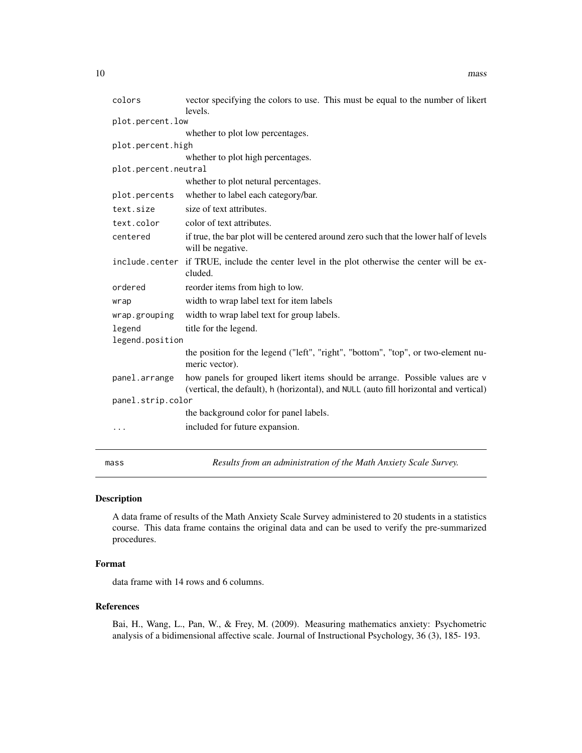<span id="page-9-0"></span>

| colors                            | vector specifying the colors to use. This must be equal to the number of likert<br>levels.                                                                            |  |
|-----------------------------------|-----------------------------------------------------------------------------------------------------------------------------------------------------------------------|--|
| plot.percent.low                  |                                                                                                                                                                       |  |
|                                   | whether to plot low percentages.                                                                                                                                      |  |
| plot.percent.high                 |                                                                                                                                                                       |  |
| whether to plot high percentages. |                                                                                                                                                                       |  |
| plot.percent.neutral              |                                                                                                                                                                       |  |
|                                   | whether to plot netural percentages.                                                                                                                                  |  |
| plot.percents                     | whether to label each category/bar.                                                                                                                                   |  |
| text.size                         | size of text attributes.                                                                                                                                              |  |
| text.color                        | color of text attributes.                                                                                                                                             |  |
| centered                          | if true, the bar plot will be centered around zero such that the lower half of levels<br>will be negative.                                                            |  |
|                                   | include center if TRUE, include the center level in the plot otherwise the center will be ex-<br>cluded.                                                              |  |
| ordered                           | reorder items from high to low.                                                                                                                                       |  |
| wrap                              | width to wrap label text for item labels                                                                                                                              |  |
| wrap.grouping                     | width to wrap label text for group labels.                                                                                                                            |  |
| legend                            | title for the legend.                                                                                                                                                 |  |
| legend.position                   |                                                                                                                                                                       |  |
|                                   | the position for the legend ("left", "right", "bottom", "top", or two-element nu-<br>meric vector).                                                                   |  |
| panel.arrange                     | how panels for grouped likert items should be arrange. Possible values are v<br>(vertical, the default), h (horizontal), and NULL (auto fill horizontal and vertical) |  |
| panel.strip.color                 |                                                                                                                                                                       |  |
|                                   | the background color for panel labels.                                                                                                                                |  |
|                                   | included for future expansion.                                                                                                                                        |  |
|                                   |                                                                                                                                                                       |  |

mass *Results from an administration of the Math Anxiety Scale Survey.*

# Description

A data frame of results of the Math Anxiety Scale Survey administered to 20 students in a statistics course. This data frame contains the original data and can be used to verify the pre-summarized procedures.

# Format

data frame with 14 rows and 6 columns.

#### References

Bai, H., Wang, L., Pan, W., & Frey, M. (2009). Measuring mathematics anxiety: Psychometric analysis of a bidimensional affective scale. Journal of Instructional Psychology, 36 (3), 185- 193.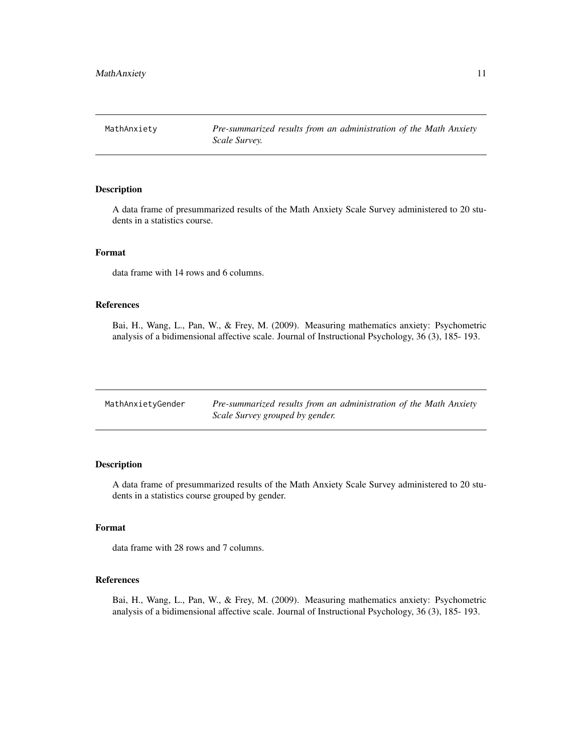<span id="page-10-0"></span>MathAnxiety *Pre-summarized results from an administration of the Math Anxiety Scale Survey.*

### Description

A data frame of presummarized results of the Math Anxiety Scale Survey administered to 20 students in a statistics course.

#### Format

data frame with 14 rows and 6 columns.

# References

Bai, H., Wang, L., Pan, W., & Frey, M. (2009). Measuring mathematics anxiety: Psychometric analysis of a bidimensional affective scale. Journal of Instructional Psychology, 36 (3), 185- 193.

| MathAnxietyGender | Pre-summarized results from an administration of the Math Anxiety |
|-------------------|-------------------------------------------------------------------|
|                   | Scale Survey grouped by gender.                                   |

#### Description

A data frame of presummarized results of the Math Anxiety Scale Survey administered to 20 students in a statistics course grouped by gender.

# Format

data frame with 28 rows and 7 columns.

#### References

Bai, H., Wang, L., Pan, W., & Frey, M. (2009). Measuring mathematics anxiety: Psychometric analysis of a bidimensional affective scale. Journal of Instructional Psychology, 36 (3), 185- 193.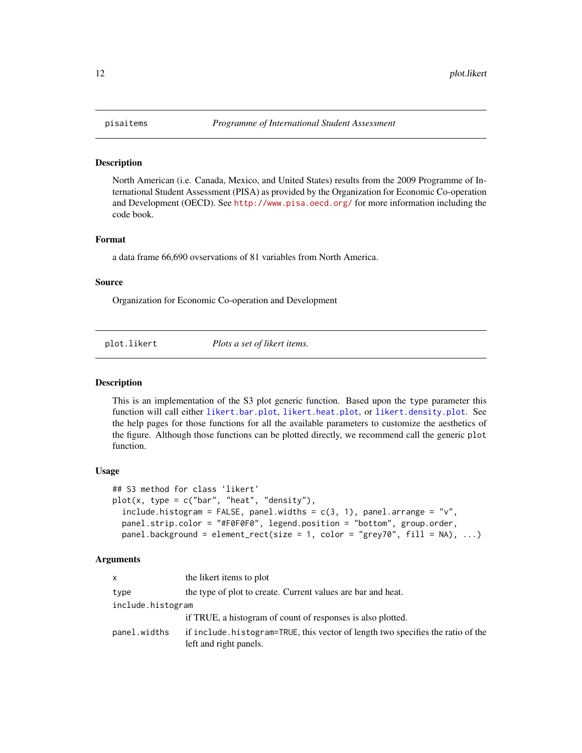#### Description

North American (i.e. Canada, Mexico, and United States) results from the 2009 Programme of International Student Assessment (PISA) as provided by the Organization for Economic Co-operation and Development (OECD). See <http://www.pisa.oecd.org/> for more information including the code book.

#### Format

a data frame 66,690 ovservations of 81 variables from North America.

#### Source

Organization for Economic Co-operation and Development

plot.likert *Plots a set of likert items.*

#### **Description**

This is an implementation of the S3 plot generic function. Based upon the type parameter this function will call either [likert.bar.plot](#page-5-1), [likert.heat.plot](#page-6-1), or [likert.density.plot](#page-5-2). See the help pages for those functions for all the available parameters to customize the aesthetics of the figure. Although those functions can be plotted directly, we recommend call the generic plot function.

#### Usage

```
## S3 method for class 'likert'
plot(x, type = c("bar", "heat", "density"),
 include. histogram = FALSE, panel. widths = c(3, 1), panel.arrange = "v",panel.strip.color = "#F0F0F0", legend.position = "bottom", group.order,
 panel.background = element_rect(size = 1, color = "grey70", fill = NA), ...)
```

| x                 | the likert items to plot                                                                                   |
|-------------------|------------------------------------------------------------------------------------------------------------|
| type              | the type of plot to create. Current values are bar and heat.                                               |
| include.histogram |                                                                                                            |
|                   | if TRUE, a histogram of count of responses is also plotted.                                                |
| panel.widths      | if include. histogram=TRUE, this vector of length two specifies the ratio of the<br>left and right panels. |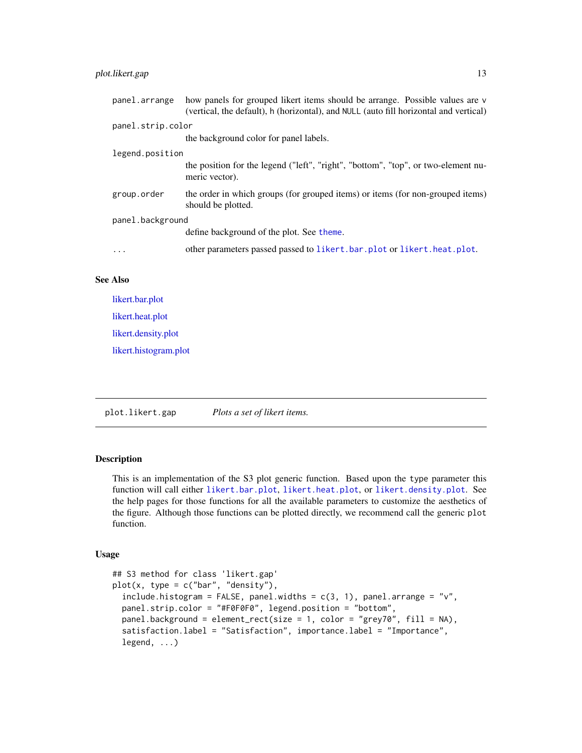# <span id="page-12-0"></span>plot.likert.gap 13

| panel.arrange     | how panels for grouped likert items should be arrange. Possible values are v<br>(vertical, the default), h (horizontal), and NULL (auto fill horizontal and vertical) |
|-------------------|-----------------------------------------------------------------------------------------------------------------------------------------------------------------------|
| panel.strip.color |                                                                                                                                                                       |
|                   | the background color for panel labels.                                                                                                                                |
| legend.position   |                                                                                                                                                                       |
|                   | the position for the legend ("left", "right", "bottom", "top", or two-element nu-<br>meric vector).                                                                   |
| group.order       | the order in which groups (for grouped items) or items (for non-grouped items)<br>should be plotted.                                                                  |
| panel.background  |                                                                                                                                                                       |
|                   | define background of the plot. See theme.                                                                                                                             |
| $\ddots$          | other parameters passed passed to likert.bar.plot or likert.heat.plot.                                                                                                |
|                   |                                                                                                                                                                       |

#### See Also

| likert.bar.plot       |
|-----------------------|
| likert.heat.plot      |
| likert.density.plot   |
| likert.histogram.plot |

plot.likert.gap *Plots a set of likert items.*

#### Description

This is an implementation of the S3 plot generic function. Based upon the type parameter this function will call either [likert.bar.plot](#page-5-1), [likert.heat.plot](#page-6-1), or [likert.density.plot](#page-5-2). See the help pages for those functions for all the available parameters to customize the aesthetics of the figure. Although those functions can be plotted directly, we recommend call the generic plot function.

#### Usage

```
## S3 method for class 'likert.gap'
plot(x, type = c("bar", "density"),include. histogram = FALSE, panel. widths = c(3, 1), panel. arrange = "v",panel.strip.color = "#F0F0F0", legend.position = "bottom",
 panel.background = element_rect(size = 1, color = "grey70", fill = NA),
  satisfaction.label = "Satisfaction", importance.label = "Importance",
  legend, ...)
```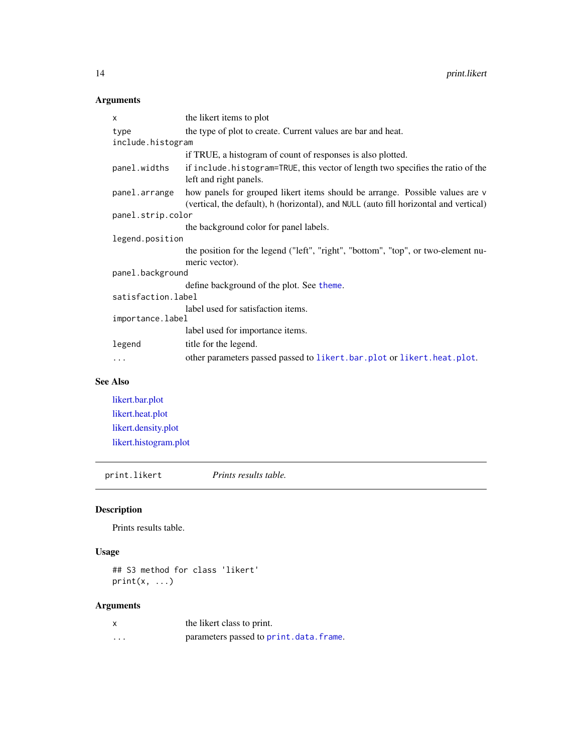# <span id="page-13-0"></span>Arguments

| x                  | the likert items to plot                                                                                                                                              |  |
|--------------------|-----------------------------------------------------------------------------------------------------------------------------------------------------------------------|--|
| type               | the type of plot to create. Current values are bar and heat.                                                                                                          |  |
| include.histogram  |                                                                                                                                                                       |  |
|                    | if TRUE, a histogram of count of responses is also plotted.                                                                                                           |  |
| panel.widths       | if include. histogram=TRUE, this vector of length two specifies the ratio of the<br>left and right panels.                                                            |  |
| panel.arrange      | how panels for grouped likert items should be arrange. Possible values are v<br>(vertical, the default), h (horizontal), and NULL (auto fill horizontal and vertical) |  |
| panel.strip.color  |                                                                                                                                                                       |  |
|                    | the background color for panel labels.                                                                                                                                |  |
| legend.position    |                                                                                                                                                                       |  |
|                    | the position for the legend ("left", "right", "bottom", "top", or two-element nu-                                                                                     |  |
|                    | meric vector).                                                                                                                                                        |  |
| panel.background   |                                                                                                                                                                       |  |
|                    | define background of the plot. See theme.                                                                                                                             |  |
| satisfaction.label |                                                                                                                                                                       |  |
|                    | label used for satisfaction items.                                                                                                                                    |  |
| importance.label   |                                                                                                                                                                       |  |
|                    | label used for importance items.                                                                                                                                      |  |
| legend             | title for the legend.                                                                                                                                                 |  |
| $\ddots$           | other parameters passed passed to likert.bar.plot or likert.heat.plot.                                                                                                |  |

# See Also

[likert.bar.plot](#page-5-1) [likert.heat.plot](#page-6-1) [likert.density.plot](#page-5-2) [likert.histogram.plot](#page-7-1)

print.likert *Prints results table.*

# Description

Prints results table.

# Usage

## S3 method for class 'likert'  $print(x, \ldots)$ 

| x | the likert class to print.             |
|---|----------------------------------------|
| . | parameters passed to print.data.frame. |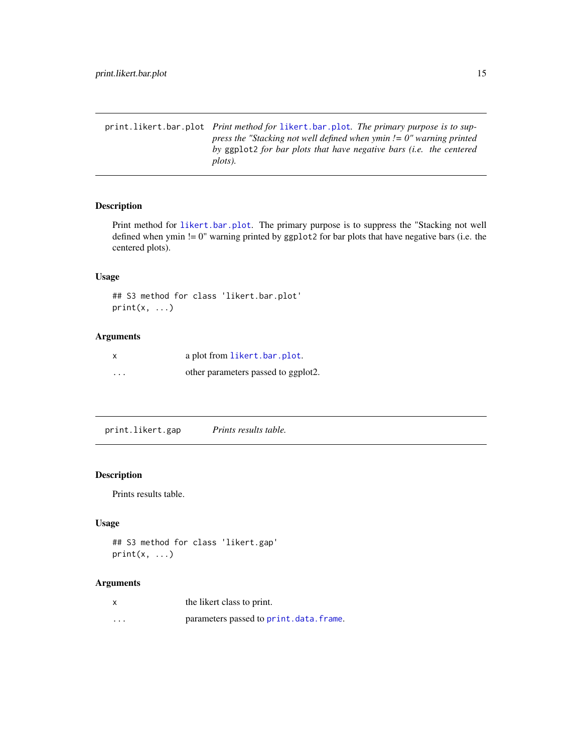<span id="page-14-0"></span>print.likert.bar.plot *Print method for* [likert.bar.plot](#page-5-1)*. The primary purpose is to suppress the "Stacking not well defined when ymin != 0" warning printed by* ggplot2 *for bar plots that have negative bars (i.e. the centered plots).*

# Description

Print method for [likert.bar.plot](#page-5-1). The primary purpose is to suppress the "Stacking not well defined when ymin != 0" warning printed by ggplot2 for bar plots that have negative bars (i.e. the centered plots).

# Usage

```
## S3 method for class 'likert.bar.plot'
print(x, \ldots)
```
# Arguments

|          | a plot from likert.bar.plot.        |
|----------|-------------------------------------|
| $\cdots$ | other parameters passed to ggplot2. |

print.likert.gap *Prints results table.*

#### Description

Prints results table.

# Usage

```
## S3 method for class 'likert.gap'
print(x, \ldots)
```

|         | the likert class to print.             |
|---------|----------------------------------------|
| $\cdot$ | parameters passed to print.data.frame. |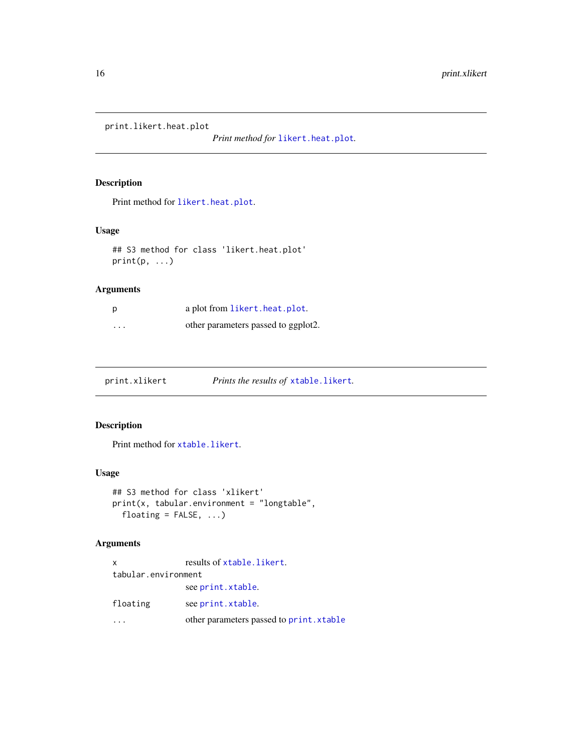<span id="page-15-0"></span>print.likert.heat.plot

*Print method for* [likert.heat.plot](#page-6-1)*.*

# Description

Print method for [likert.heat.plot](#page-6-1).

# Usage

## S3 method for class 'likert.heat.plot' print(p, ...)

# Arguments

| p                       | a plot from likert.heat.plot.       |
|-------------------------|-------------------------------------|
| $\cdot$ $\cdot$ $\cdot$ | other parameters passed to ggplot2. |

print.xlikert *Prints the results of* [xtable.likert](#page-19-1)*.*

# Description

Print method for [xtable.likert](#page-19-1).

#### Usage

```
## S3 method for class 'xlikert'
print(x, tabular.environment = "longtable",
 floating = FALSE, ...)
```

| $\boldsymbol{\mathsf{x}}$ | results of xtable.likert.                |
|---------------------------|------------------------------------------|
| tabular.environment       |                                          |
|                           | see print. xtable.                       |
| floating                  | see print.xtable.                        |
|                           | other parameters passed to print. xtable |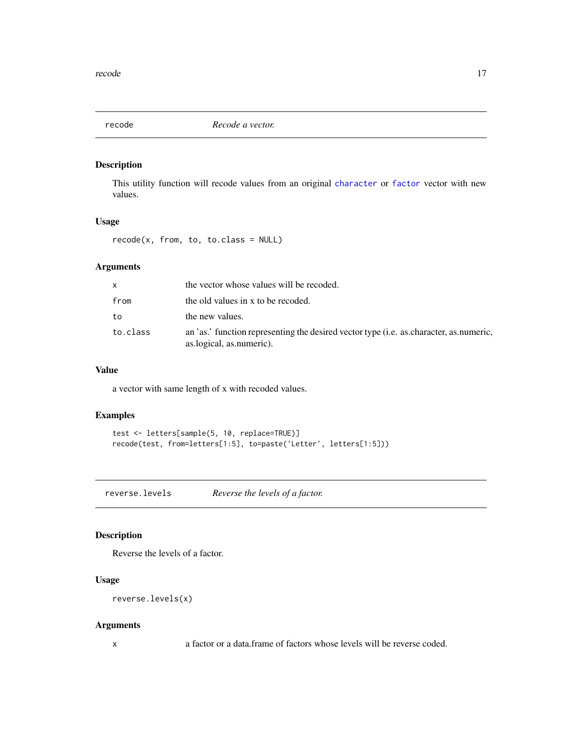<span id="page-16-0"></span>

#### Description

This utility function will recode values from an original [character](#page-0-0) or [factor](#page-0-0) vector with new values.

# Usage

recode(x, from, to, to.class = NULL)

# Arguments

| X        | the vector whose values will be recoded.                                                                           |
|----------|--------------------------------------------------------------------------------------------------------------------|
| from     | the old values in x to be recoded.                                                                                 |
| to       | the new values.                                                                                                    |
| to.class | an 'as.' function representing the desired vector type (i.e. as character, as numeric,<br>as.logical, as.numeric). |

### Value

a vector with same length of x with recoded values.

#### Examples

```
test <- letters[sample(5, 10, replace=TRUE)]
recode(test, from=letters[1:5], to=paste('Letter', letters[1:5]))
```
reverse.levels *Reverse the levels of a factor.*

### Description

Reverse the levels of a factor.

# Usage

```
reverse.levels(x)
```
#### Arguments

x a factor or a data.frame of factors whose levels will be reverse coded.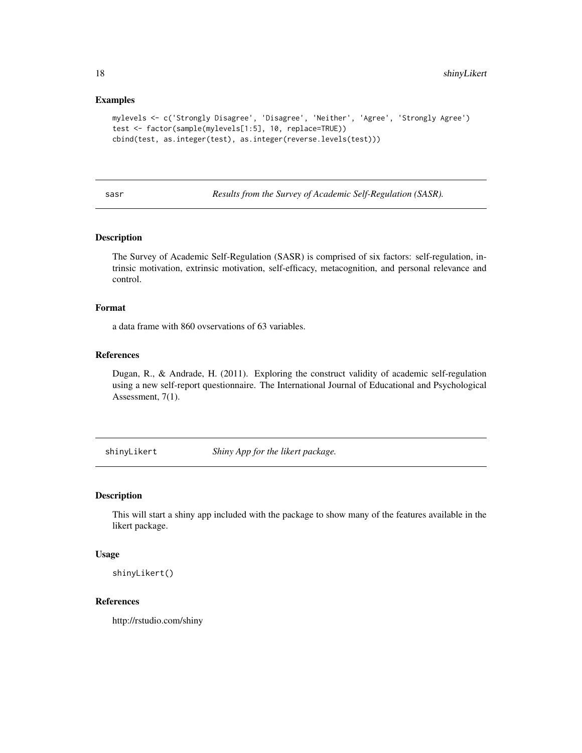#### Examples

```
mylevels <- c('Strongly Disagree', 'Disagree', 'Neither', 'Agree', 'Strongly Agree')
test <- factor(sample(mylevels[1:5], 10, replace=TRUE))
cbind(test, as.integer(test), as.integer(reverse.levels(test)))
```
sasr *Results from the Survey of Academic Self-Regulation (SASR).*

#### Description

The Survey of Academic Self-Regulation (SASR) is comprised of six factors: self-regulation, intrinsic motivation, extrinsic motivation, self-efficacy, metacognition, and personal relevance and control.

# Format

a data frame with 860 ovservations of 63 variables.

#### References

Dugan, R., & Andrade, H. (2011). Exploring the construct validity of academic self-regulation using a new self-report questionnaire. The International Journal of Educational and Psychological Assessment, 7(1).

shinyLikert *Shiny App for the likert package.*

#### Description

This will start a shiny app included with the package to show many of the features available in the likert package.

#### Usage

shinyLikert()

# References

http://rstudio.com/shiny

<span id="page-17-0"></span>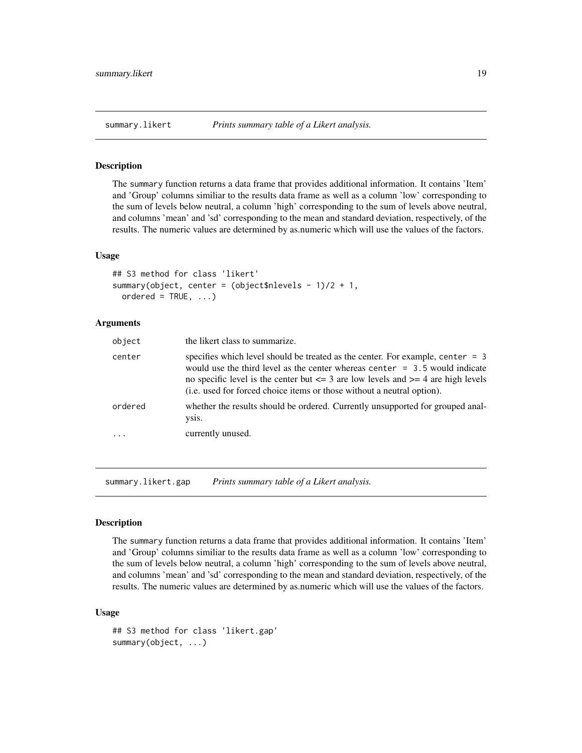<span id="page-18-1"></span><span id="page-18-0"></span>

#### Description

The summary function returns a data frame that provides additional information. It contains 'Item' and 'Group' columns similiar to the results data frame as well as a column 'low' corresponding to the sum of levels below neutral, a column 'high' corresponding to the sum of levels above neutral, and columns 'mean' and 'sd' corresponding to the mean and standard deviation, respectively, of the results. The numeric values are determined by as.numeric which will use the values of the factors.

#### Usage

```
## S3 method for class 'likert'
summary(object, center = (object$nlevels - 1)/2 + 1,
  ordered = TRUE, ...)
```
#### Arguments

| object  | the likert class to summarize.                                                                                                                                                                                                                                                                                                          |
|---------|-----------------------------------------------------------------------------------------------------------------------------------------------------------------------------------------------------------------------------------------------------------------------------------------------------------------------------------------|
| center  | specifies which level should be treated as the center. For example, center $= 3$<br>would use the third level as the center whereas center $= 3.5$ would indicate<br>no specific level is the center but $\leq$ 3 are low levels and $\geq$ 4 are high levels<br>(i.e. used for forced choice items or those without a neutral option). |
| ordered | whether the results should be ordered. Currently unsupported for grouped anal-<br>VS1S.                                                                                                                                                                                                                                                 |
|         | currently unused.                                                                                                                                                                                                                                                                                                                       |

summary.likert.gap *Prints summary table of a Likert analysis.*

# **Description**

The summary function returns a data frame that provides additional information. It contains 'Item' and 'Group' columns similiar to the results data frame as well as a column 'low' corresponding to the sum of levels below neutral, a column 'high' corresponding to the sum of levels above neutral, and columns 'mean' and 'sd' corresponding to the mean and standard deviation, respectively, of the results. The numeric values are determined by as.numeric which will use the values of the factors.

#### Usage

```
## S3 method for class 'likert.gap'
summary(object, ...)
```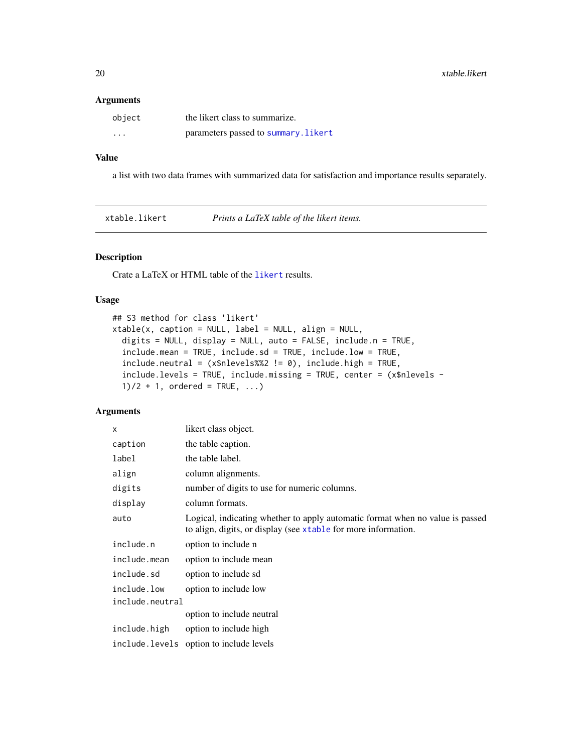#### <span id="page-19-0"></span>Arguments

| object   | the likert class to summarize.       |
|----------|--------------------------------------|
| $\cdots$ | parameters passed to summary. likert |

# Value

a list with two data frames with summarized data for satisfaction and importance results separately.

<span id="page-19-1"></span>xtable.likert *Prints a LaTeX table of the likert items.*

# Description

Crate a LaTeX or HTML table of the [likert](#page-3-1) results.

# Usage

```
## S3 method for class 'likert'
xtable(x, caption = NULL, label = NULL, align = NULL,digits = NULL, display = NULL, auto = FALSE, include.n = TRUE,
  include.mean = TRUE, include.sd = TRUE, include.low = TRUE,
  include . neutral = (x$nlevels\%2 != 0), include . high = TRUE,include.levels = TRUE, include.missing = TRUE, center = (x$nlevels -
  1)/2 + 1, ordered = TRUE, ...)
```

| Logical, indicating whether to apply automatic format when no value is passed |  |  |
|-------------------------------------------------------------------------------|--|--|
|                                                                               |  |  |
|                                                                               |  |  |
|                                                                               |  |  |
|                                                                               |  |  |
| include.neutral                                                               |  |  |
|                                                                               |  |  |
|                                                                               |  |  |
|                                                                               |  |  |
|                                                                               |  |  |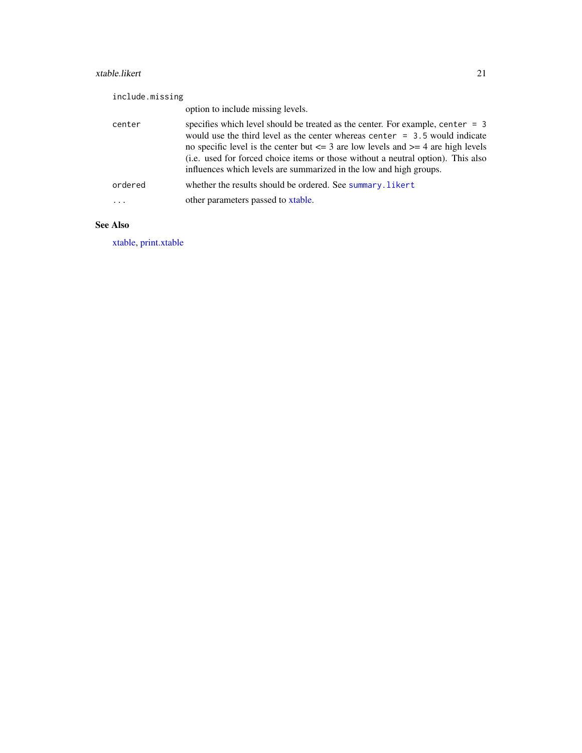# <span id="page-20-0"></span>xtable.likert 21

| include.missing |                                                                                                                                                                                                                                                                                                                                                                                                                         |
|-----------------|-------------------------------------------------------------------------------------------------------------------------------------------------------------------------------------------------------------------------------------------------------------------------------------------------------------------------------------------------------------------------------------------------------------------------|
|                 | option to include missing levels.                                                                                                                                                                                                                                                                                                                                                                                       |
| center          | specifies which level should be treated as the center. For example, center $= 3$<br>would use the third level as the center whereas center $= 3.5$ would indicate<br>no specific level is the center but $\leq$ 3 are low levels and $\geq$ 4 are high levels<br>(i.e. used for forced choice items or those without a neutral option). This also<br>influences which levels are summarized in the low and high groups. |
| ordered         | whether the results should be ordered. See summary. likert                                                                                                                                                                                                                                                                                                                                                              |
|                 | other parameters passed to xtable.                                                                                                                                                                                                                                                                                                                                                                                      |

# See Also

[xtable,](#page-0-0) [print.xtable](#page-0-0)